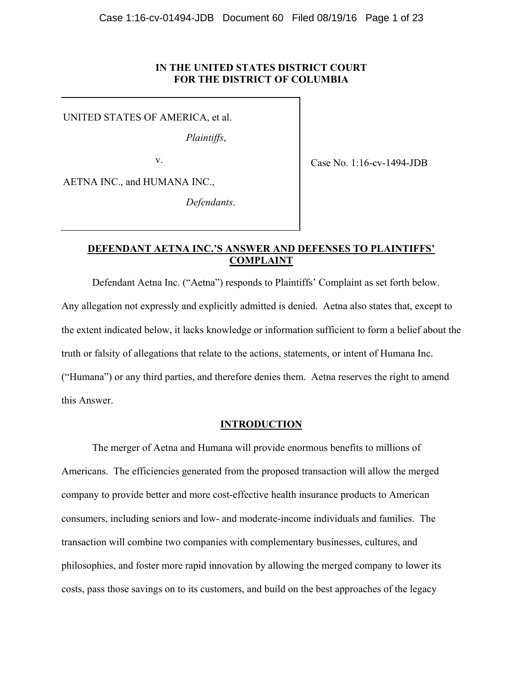### **IN THE UNITED STATES DISTRICT COURT FOR THE DISTRICT OF COLUMBIA**

UNITED STATES OF AMERICA, et al.

*Plaintiffs*,

v.

Case No. 1:16-cv-1494-JDB

AETNA INC., and HUMANA INC.,

*Defendants*.

# **DEFENDANT AETNA INC.'S ANSWER AND DEFENSES TO PLAINTIFFS' COMPLAINT**

Defendant Aetna Inc. ("Aetna") responds to Plaintiffs' Complaint as set forth below. Any allegation not expressly and explicitly admitted is denied. Aetna also states that, except to the extent indicated below, it lacks knowledge or information sufficient to form a belief about the truth or falsity of allegations that relate to the actions, statements, or intent of Humana Inc. ("Humana") or any third parties, and therefore denies them. Aetna reserves the right to amend this Answer.

### **INTRODUCTION**

The merger of Aetna and Humana will provide enormous benefits to millions of Americans. The efficiencies generated from the proposed transaction will allow the merged company to provide better and more cost-effective health insurance products to American consumers, including seniors and low- and moderate-income individuals and families. The transaction will combine two companies with complementary businesses, cultures, and philosophies, and foster more rapid innovation by allowing the merged company to lower its costs, pass those savings on to its customers, and build on the best approaches of the legacy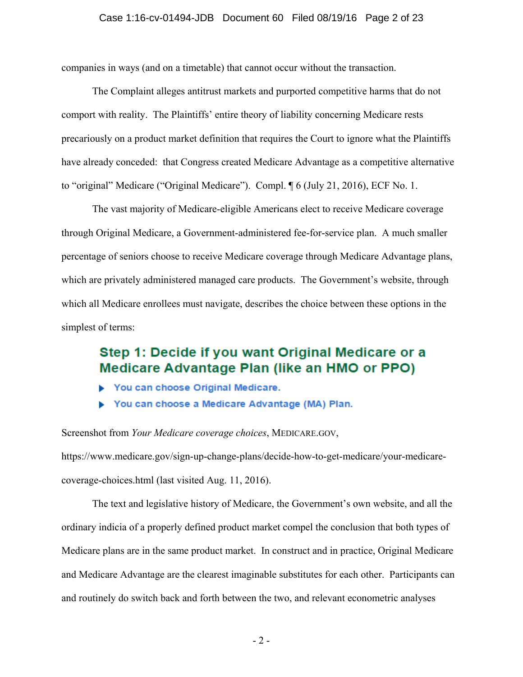companies in ways (and on a timetable) that cannot occur without the transaction.

The Complaint alleges antitrust markets and purported competitive harms that do not comport with reality. The Plaintiffs' entire theory of liability concerning Medicare rests precariously on a product market definition that requires the Court to ignore what the Plaintiffs have already conceded: that Congress created Medicare Advantage as a competitive alternative to "original" Medicare ("Original Medicare"). Compl. ¶ 6 (July 21, 2016), ECF No. 1.

The vast majority of Medicare-eligible Americans elect to receive Medicare coverage through Original Medicare, a Government-administered fee-for-service plan. A much smaller percentage of seniors choose to receive Medicare coverage through Medicare Advantage plans, which are privately administered managed care products. The Government's website, through which all Medicare enrollees must navigate, describes the choice between these options in the simplest of terms:

# Step 1: Decide if you want Original Medicare or a **Medicare Advantage Plan (like an HMO or PPO)**

- You can choose Original Medicare.
- You can choose a Medicare Advantage (MA) Plan.

Screenshot from *Your Medicare coverage choices*, MEDICARE.GOV,

https://www.medicare.gov/sign-up-change-plans/decide-how-to-get-medicare/your-medicarecoverage-choices.html (last visited Aug. 11, 2016).

The text and legislative history of Medicare, the Government's own website, and all the ordinary indicia of a properly defined product market compel the conclusion that both types of Medicare plans are in the same product market. In construct and in practice, Original Medicare and Medicare Advantage are the clearest imaginable substitutes for each other. Participants can and routinely do switch back and forth between the two, and relevant econometric analyses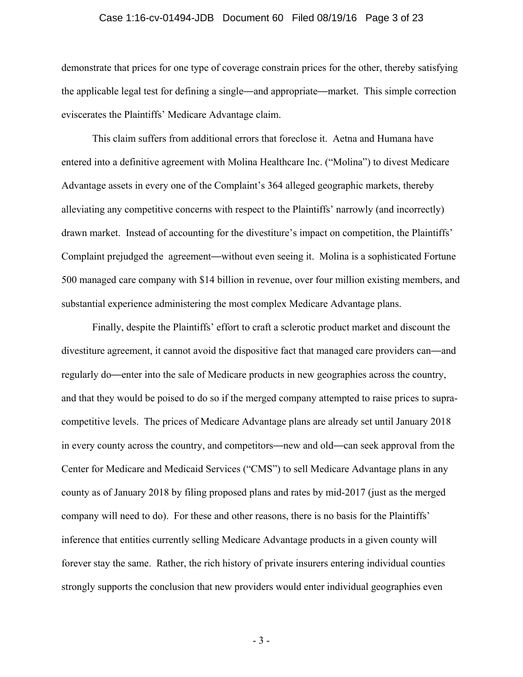#### Case 1:16-cv-01494-JDB Document 60 Filed 08/19/16 Page 3 of 23

demonstrate that prices for one type of coverage constrain prices for the other, thereby satisfying the applicable legal test for defining a single—and appropriate—market. This simple correction eviscerates the Plaintiffs' Medicare Advantage claim.

This claim suffers from additional errors that foreclose it. Aetna and Humana have entered into a definitive agreement with Molina Healthcare Inc. ("Molina") to divest Medicare Advantage assets in every one of the Complaint's 364 alleged geographic markets, thereby alleviating any competitive concerns with respect to the Plaintiffs' narrowly (and incorrectly) drawn market. Instead of accounting for the divestiture's impact on competition, the Plaintiffs' Complaint prejudged the agreement—without even seeing it. Molina is a sophisticated Fortune 500 managed care company with \$14 billion in revenue, over four million existing members, and substantial experience administering the most complex Medicare Advantage plans.

Finally, despite the Plaintiffs' effort to craft a sclerotic product market and discount the divestiture agreement, it cannot avoid the dispositive fact that managed care providers can—and regularly do—enter into the sale of Medicare products in new geographies across the country, and that they would be poised to do so if the merged company attempted to raise prices to supracompetitive levels. The prices of Medicare Advantage plans are already set until January 2018 in every county across the country, and competitors—new and old—can seek approval from the Center for Medicare and Medicaid Services ("CMS") to sell Medicare Advantage plans in any county as of January 2018 by filing proposed plans and rates by mid-2017 (just as the merged company will need to do). For these and other reasons, there is no basis for the Plaintiffs' inference that entities currently selling Medicare Advantage products in a given county will forever stay the same. Rather, the rich history of private insurers entering individual counties strongly supports the conclusion that new providers would enter individual geographies even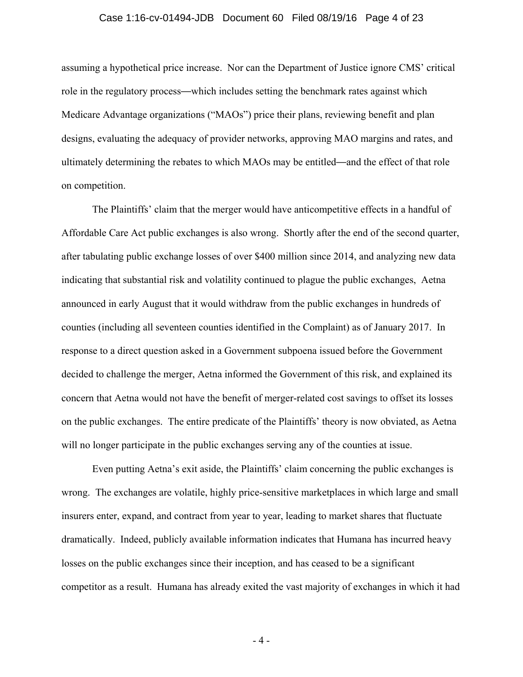#### Case 1:16-cv-01494-JDB Document 60 Filed 08/19/16 Page 4 of 23

assuming a hypothetical price increase. Nor can the Department of Justice ignore CMS' critical role in the regulatory process—which includes setting the benchmark rates against which Medicare Advantage organizations ("MAOs") price their plans, reviewing benefit and plan designs, evaluating the adequacy of provider networks, approving MAO margins and rates, and ultimately determining the rebates to which MAOs may be entitled—and the effect of that role on competition.

The Plaintiffs' claim that the merger would have anticompetitive effects in a handful of Affordable Care Act public exchanges is also wrong. Shortly after the end of the second quarter, after tabulating public exchange losses of over \$400 million since 2014, and analyzing new data indicating that substantial risk and volatility continued to plague the public exchanges, Aetna announced in early August that it would withdraw from the public exchanges in hundreds of counties (including all seventeen counties identified in the Complaint) as of January 2017. In response to a direct question asked in a Government subpoena issued before the Government decided to challenge the merger, Aetna informed the Government of this risk, and explained its concern that Aetna would not have the benefit of merger-related cost savings to offset its losses on the public exchanges. The entire predicate of the Plaintiffs' theory is now obviated, as Aetna will no longer participate in the public exchanges serving any of the counties at issue.

Even putting Aetna's exit aside, the Plaintiffs' claim concerning the public exchanges is wrong. The exchanges are volatile, highly price-sensitive marketplaces in which large and small insurers enter, expand, and contract from year to year, leading to market shares that fluctuate dramatically. Indeed, publicly available information indicates that Humana has incurred heavy losses on the public exchanges since their inception, and has ceased to be a significant competitor as a result. Humana has already exited the vast majority of exchanges in which it had

- 4 -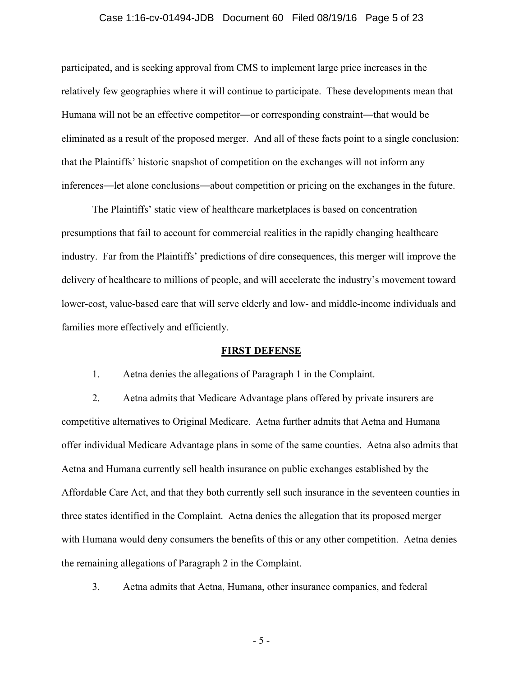#### Case 1:16-cv-01494-JDB Document 60 Filed 08/19/16 Page 5 of 23

participated, and is seeking approval from CMS to implement large price increases in the relatively few geographies where it will continue to participate. These developments mean that Humana will not be an effective competitor—or corresponding constraint—that would be eliminated as a result of the proposed merger. And all of these facts point to a single conclusion: that the Plaintiffs' historic snapshot of competition on the exchanges will not inform any inferences—let alone conclusions—about competition or pricing on the exchanges in the future.

The Plaintiffs' static view of healthcare marketplaces is based on concentration presumptions that fail to account for commercial realities in the rapidly changing healthcare industry. Far from the Plaintiffs' predictions of dire consequences, this merger will improve the delivery of healthcare to millions of people, and will accelerate the industry's movement toward lower-cost, value-based care that will serve elderly and low- and middle-income individuals and families more effectively and efficiently.

#### **FIRST DEFENSE**

1. Aetna denies the allegations of Paragraph 1 in the Complaint.

2. Aetna admits that Medicare Advantage plans offered by private insurers are competitive alternatives to Original Medicare. Aetna further admits that Aetna and Humana offer individual Medicare Advantage plans in some of the same counties. Aetna also admits that Aetna and Humana currently sell health insurance on public exchanges established by the Affordable Care Act, and that they both currently sell such insurance in the seventeen counties in three states identified in the Complaint. Aetna denies the allegation that its proposed merger with Humana would deny consumers the benefits of this or any other competition. Aetna denies the remaining allegations of Paragraph 2 in the Complaint.

3. Aetna admits that Aetna, Humana, other insurance companies, and federal

- 5 -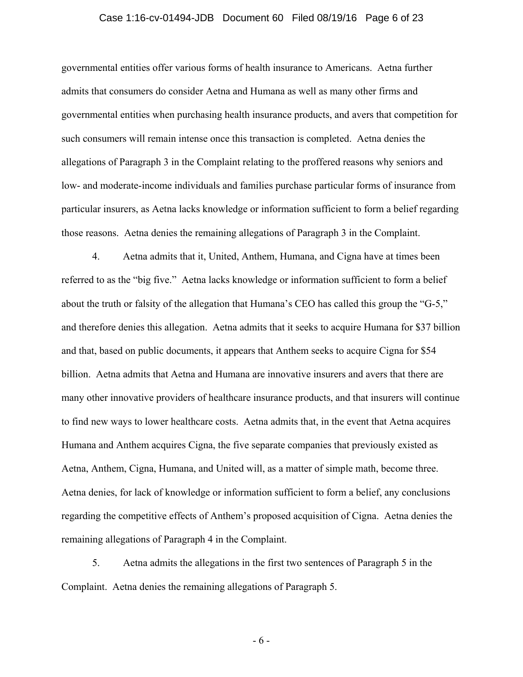#### Case 1:16-cv-01494-JDB Document 60 Filed 08/19/16 Page 6 of 23

governmental entities offer various forms of health insurance to Americans. Aetna further admits that consumers do consider Aetna and Humana as well as many other firms and governmental entities when purchasing health insurance products, and avers that competition for such consumers will remain intense once this transaction is completed. Aetna denies the allegations of Paragraph 3 in the Complaint relating to the proffered reasons why seniors and low- and moderate-income individuals and families purchase particular forms of insurance from particular insurers, as Aetna lacks knowledge or information sufficient to form a belief regarding those reasons. Aetna denies the remaining allegations of Paragraph 3 in the Complaint.

4. Aetna admits that it, United, Anthem, Humana, and Cigna have at times been referred to as the "big five." Aetna lacks knowledge or information sufficient to form a belief about the truth or falsity of the allegation that Humana's CEO has called this group the "G-5," and therefore denies this allegation. Aetna admits that it seeks to acquire Humana for \$37 billion and that, based on public documents, it appears that Anthem seeks to acquire Cigna for \$54 billion. Aetna admits that Aetna and Humana are innovative insurers and avers that there are many other innovative providers of healthcare insurance products, and that insurers will continue to find new ways to lower healthcare costs. Aetna admits that, in the event that Aetna acquires Humana and Anthem acquires Cigna, the five separate companies that previously existed as Aetna, Anthem, Cigna, Humana, and United will, as a matter of simple math, become three. Aetna denies, for lack of knowledge or information sufficient to form a belief, any conclusions regarding the competitive effects of Anthem's proposed acquisition of Cigna. Aetna denies the remaining allegations of Paragraph 4 in the Complaint.

5. Aetna admits the allegations in the first two sentences of Paragraph 5 in the Complaint. Aetna denies the remaining allegations of Paragraph 5.

- 6 -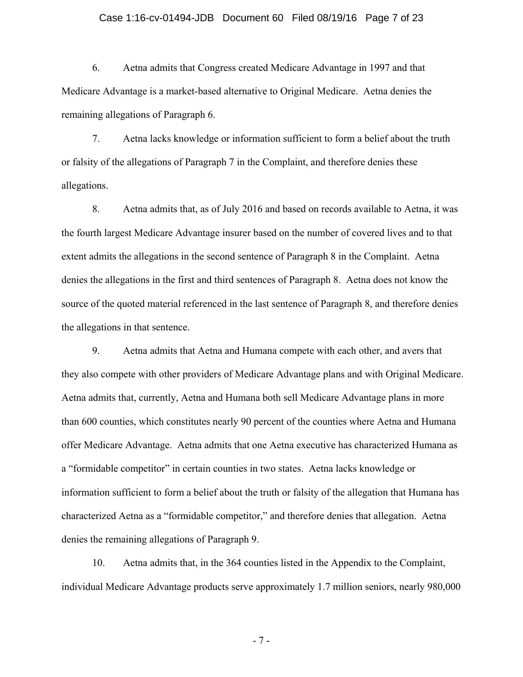#### Case 1:16-cv-01494-JDB Document 60 Filed 08/19/16 Page 7 of 23

6. Aetna admits that Congress created Medicare Advantage in 1997 and that Medicare Advantage is a market-based alternative to Original Medicare. Aetna denies the remaining allegations of Paragraph 6.

7. Aetna lacks knowledge or information sufficient to form a belief about the truth or falsity of the allegations of Paragraph 7 in the Complaint, and therefore denies these allegations.

8. Aetna admits that, as of July 2016 and based on records available to Aetna, it was the fourth largest Medicare Advantage insurer based on the number of covered lives and to that extent admits the allegations in the second sentence of Paragraph 8 in the Complaint. Aetna denies the allegations in the first and third sentences of Paragraph 8. Aetna does not know the source of the quoted material referenced in the last sentence of Paragraph 8, and therefore denies the allegations in that sentence.

9. Aetna admits that Aetna and Humana compete with each other, and avers that they also compete with other providers of Medicare Advantage plans and with Original Medicare. Aetna admits that, currently, Aetna and Humana both sell Medicare Advantage plans in more than 600 counties, which constitutes nearly 90 percent of the counties where Aetna and Humana offer Medicare Advantage. Aetna admits that one Aetna executive has characterized Humana as a "formidable competitor" in certain counties in two states. Aetna lacks knowledge or information sufficient to form a belief about the truth or falsity of the allegation that Humana has characterized Aetna as a "formidable competitor," and therefore denies that allegation. Aetna denies the remaining allegations of Paragraph 9.

10. Aetna admits that, in the 364 counties listed in the Appendix to the Complaint, individual Medicare Advantage products serve approximately 1.7 million seniors, nearly 980,000

- 7 -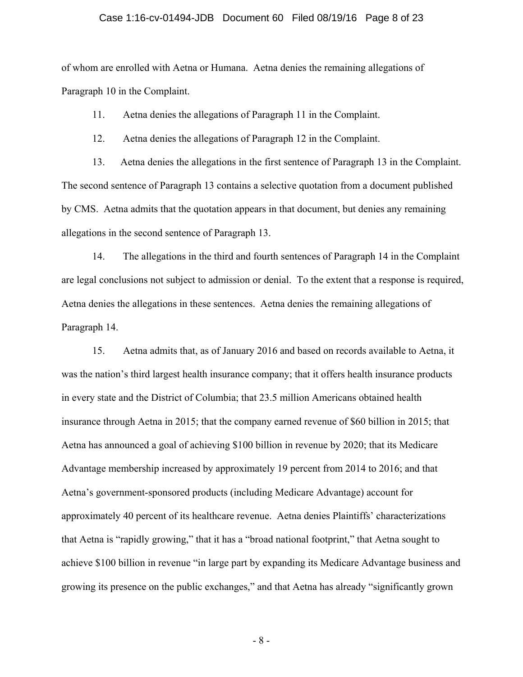#### Case 1:16-cv-01494-JDB Document 60 Filed 08/19/16 Page 8 of 23

of whom are enrolled with Aetna or Humana. Aetna denies the remaining allegations of Paragraph 10 in the Complaint.

11. Aetna denies the allegations of Paragraph 11 in the Complaint.

12. Aetna denies the allegations of Paragraph 12 in the Complaint.

13. Aetna denies the allegations in the first sentence of Paragraph 13 in the Complaint. The second sentence of Paragraph 13 contains a selective quotation from a document published by CMS. Aetna admits that the quotation appears in that document, but denies any remaining allegations in the second sentence of Paragraph 13.

14. The allegations in the third and fourth sentences of Paragraph 14 in the Complaint are legal conclusions not subject to admission or denial. To the extent that a response is required, Aetna denies the allegations in these sentences. Aetna denies the remaining allegations of Paragraph 14.

15. Aetna admits that, as of January 2016 and based on records available to Aetna, it was the nation's third largest health insurance company; that it offers health insurance products in every state and the District of Columbia; that 23.5 million Americans obtained health insurance through Aetna in 2015; that the company earned revenue of \$60 billion in 2015; that Aetna has announced a goal of achieving \$100 billion in revenue by 2020; that its Medicare Advantage membership increased by approximately 19 percent from 2014 to 2016; and that Aetna's government-sponsored products (including Medicare Advantage) account for approximately 40 percent of its healthcare revenue.Aetna denies Plaintiffs' characterizations that Aetna is "rapidly growing," that it has a "broad national footprint," that Aetna sought to achieve \$100 billion in revenue "in large part by expanding its Medicare Advantage business and growing its presence on the public exchanges," and that Aetna has already "significantly grown

- 8 -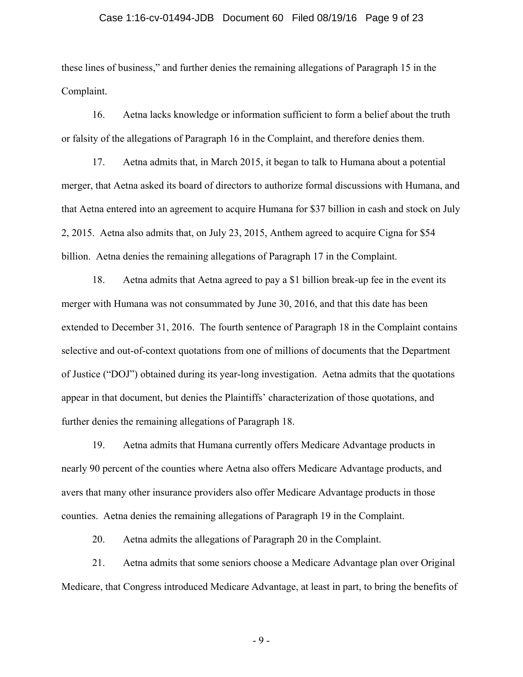#### Case 1:16-cv-01494-JDB Document 60 Filed 08/19/16 Page 9 of 23

these lines of business," and further denies the remaining allegations of Paragraph 15 in the Complaint.

16. Aetna lacks knowledge or information sufficient to form a belief about the truth or falsity of the allegations of Paragraph 16 in the Complaint, and therefore denies them.

17. Aetna admits that, in March 2015, it began to talk to Humana about a potential merger, that Aetna asked its board of directors to authorize formal discussions with Humana, and that Aetna entered into an agreement to acquire Humana for \$37 billion in cash and stock on July 2, 2015. Aetna also admits that, on July 23, 2015, Anthem agreed to acquire Cigna for \$54 billion. Aetna denies the remaining allegations of Paragraph 17 in the Complaint.

18. Aetna admits that Aetna agreed to pay a \$1 billion break-up fee in the event its merger with Humana was not consummated by June 30, 2016, and that this date has been extended to December 31, 2016. The fourth sentence of Paragraph 18 in the Complaint contains selective and out-of-context quotations from one of millions of documents that the Department of Justice ("DOJ") obtained during its year-long investigation. Aetna admits that the quotations appear in that document, but denies the Plaintiffs' characterization of those quotations, and further denies the remaining allegations of Paragraph 18.

19. Aetna admits that Humana currently offers Medicare Advantage products in nearly 90 percent of the counties where Aetna also offers Medicare Advantage products, and avers that many other insurance providers also offer Medicare Advantage products in those counties. Aetna denies the remaining allegations of Paragraph 19 in the Complaint.

20. Aetna admits the allegations of Paragraph 20 in the Complaint.

21. Aetna admits that some seniors choose a Medicare Advantage plan over Original Medicare, that Congress introduced Medicare Advantage, at least in part, to bring the benefits of

- 9 -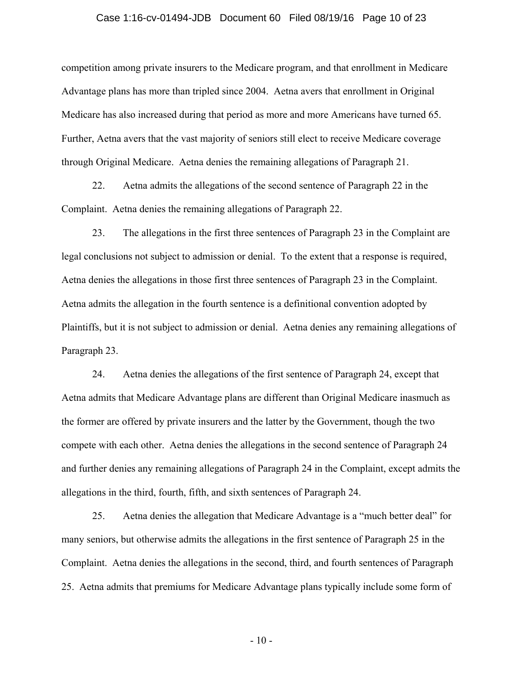#### Case 1:16-cv-01494-JDB Document 60 Filed 08/19/16 Page 10 of 23

competition among private insurers to the Medicare program, and that enrollment in Medicare Advantage plans has more than tripled since 2004. Aetna avers that enrollment in Original Medicare has also increased during that period as more and more Americans have turned 65. Further, Aetna avers that the vast majority of seniors still elect to receive Medicare coverage through Original Medicare. Aetna denies the remaining allegations of Paragraph 21.

22. Aetna admits the allegations of the second sentence of Paragraph 22 in the Complaint. Aetna denies the remaining allegations of Paragraph 22.

23. The allegations in the first three sentences of Paragraph 23 in the Complaint are legal conclusions not subject to admission or denial. To the extent that a response is required, Aetna denies the allegations in those first three sentences of Paragraph 23 in the Complaint. Aetna admits the allegation in the fourth sentence is a definitional convention adopted by Plaintiffs, but it is not subject to admission or denial. Aetna denies any remaining allegations of Paragraph 23.

24. Aetna denies the allegations of the first sentence of Paragraph 24, except that Aetna admits that Medicare Advantage plans are different than Original Medicare inasmuch as the former are offered by private insurers and the latter by the Government, though the two compete with each other. Aetna denies the allegations in the second sentence of Paragraph 24 and further denies any remaining allegations of Paragraph 24 in the Complaint, except admits the allegations in the third, fourth, fifth, and sixth sentences of Paragraph 24.

25. Aetna denies the allegation that Medicare Advantage is a "much better deal" for many seniors, but otherwise admits the allegations in the first sentence of Paragraph 25 in the Complaint. Aetna denies the allegations in the second, third, and fourth sentences of Paragraph 25. Aetna admits that premiums for Medicare Advantage plans typically include some form of

 $-10-$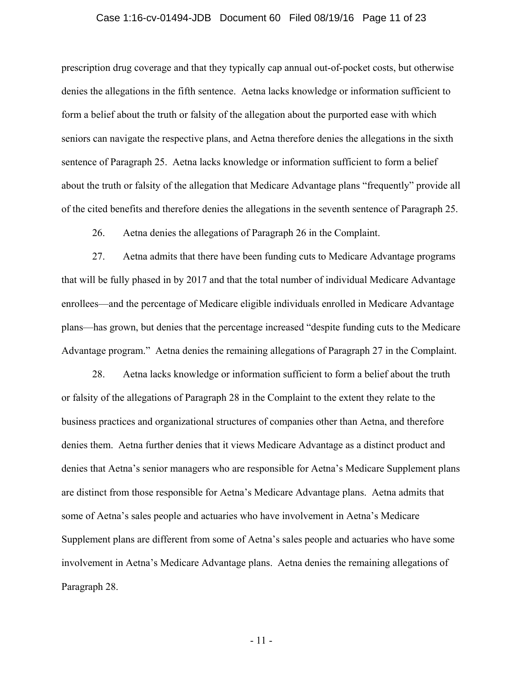#### Case 1:16-cv-01494-JDB Document 60 Filed 08/19/16 Page 11 of 23

prescription drug coverage and that they typically cap annual out-of-pocket costs, but otherwise denies the allegations in the fifth sentence. Aetna lacks knowledge or information sufficient to form a belief about the truth or falsity of the allegation about the purported ease with which seniors can navigate the respective plans, and Aetna therefore denies the allegations in the sixth sentence of Paragraph 25. Aetna lacks knowledge or information sufficient to form a belief about the truth or falsity of the allegation that Medicare Advantage plans "frequently" provide all of the cited benefits and therefore denies the allegations in the seventh sentence of Paragraph 25.

26. Aetna denies the allegations of Paragraph 26 in the Complaint.

27. Aetna admits that there have been funding cuts to Medicare Advantage programs that will be fully phased in by 2017 and that the total number of individual Medicare Advantage enrollees—and the percentage of Medicare eligible individuals enrolled in Medicare Advantage plans—has grown, but denies that the percentage increased "despite funding cuts to the Medicare Advantage program." Aetna denies the remaining allegations of Paragraph 27 in the Complaint.

28. Aetna lacks knowledge or information sufficient to form a belief about the truth or falsity of the allegations of Paragraph 28 in the Complaint to the extent they relate to the business practices and organizational structures of companies other than Aetna, and therefore denies them. Aetna further denies that it views Medicare Advantage as a distinct product and denies that Aetna's senior managers who are responsible for Aetna's Medicare Supplement plans are distinct from those responsible for Aetna's Medicare Advantage plans. Aetna admits that some of Aetna's sales people and actuaries who have involvement in Aetna's Medicare Supplement plans are different from some of Aetna's sales people and actuaries who have some involvement in Aetna's Medicare Advantage plans. Aetna denies the remaining allegations of Paragraph 28.

- 11 -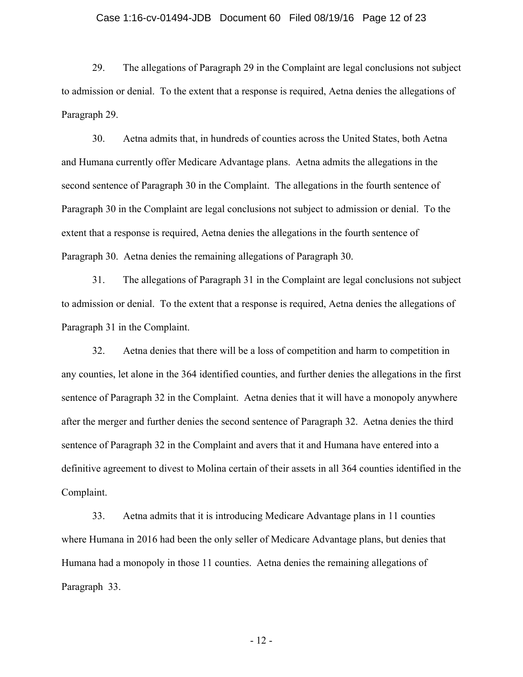#### Case 1:16-cv-01494-JDB Document 60 Filed 08/19/16 Page 12 of 23

29. The allegations of Paragraph 29 in the Complaint are legal conclusions not subject to admission or denial. To the extent that a response is required, Aetna denies the allegations of Paragraph 29.

30. Aetna admits that, in hundreds of counties across the United States, both Aetna and Humana currently offer Medicare Advantage plans. Aetna admits the allegations in the second sentence of Paragraph 30 in the Complaint. The allegations in the fourth sentence of Paragraph 30 in the Complaint are legal conclusions not subject to admission or denial. To the extent that a response is required, Aetna denies the allegations in the fourth sentence of Paragraph 30. Aetna denies the remaining allegations of Paragraph 30.

31. The allegations of Paragraph 31 in the Complaint are legal conclusions not subject to admission or denial. To the extent that a response is required, Aetna denies the allegations of Paragraph 31 in the Complaint.

32. Aetna denies that there will be a loss of competition and harm to competition in any counties, let alone in the 364 identified counties, and further denies the allegations in the first sentence of Paragraph 32 in the Complaint. Aetna denies that it will have a monopoly anywhere after the merger and further denies the second sentence of Paragraph 32. Aetna denies the third sentence of Paragraph 32 in the Complaint and avers that it and Humana have entered into a definitive agreement to divest to Molina certain of their assets in all 364 counties identified in the Complaint.

33. Aetna admits that it is introducing Medicare Advantage plans in 11 counties where Humana in 2016 had been the only seller of Medicare Advantage plans, but denies that Humana had a monopoly in those 11 counties. Aetna denies the remaining allegations of Paragraph 33.

- 12 -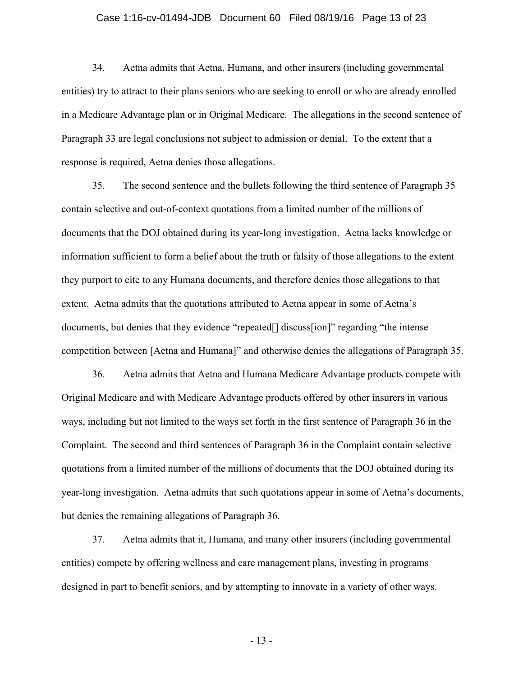#### Case 1:16-cv-01494-JDB Document 60 Filed 08/19/16 Page 13 of 23

34. Aetna admits that Aetna, Humana, and other insurers (including governmental entities) try to attract to their plans seniors who are seeking to enroll or who are already enrolled in a Medicare Advantage plan or in Original Medicare. The allegations in the second sentence of Paragraph 33 are legal conclusions not subject to admission or denial. To the extent that a response is required, Aetna denies those allegations.

35. The second sentence and the bullets following the third sentence of Paragraph 35 contain selective and out-of-context quotations from a limited number of the millions of documents that the DOJ obtained during its year-long investigation. Aetna lacks knowledge or information sufficient to form a belief about the truth or falsity of those allegations to the extent they purport to cite to any Humana documents, and therefore denies those allegations to that extent. Aetna admits that the quotations attributed to Aetna appear in some of Aetna's documents, but denies that they evidence "repeated[] discuss[ion]" regarding "the intense competition between [Aetna and Humana]" and otherwise denies the allegations of Paragraph 35.

36. Aetna admits that Aetna and Humana Medicare Advantage products compete with Original Medicare and with Medicare Advantage products offered by other insurers in various ways, including but not limited to the ways set forth in the first sentence of Paragraph 36 in the Complaint. The second and third sentences of Paragraph 36 in the Complaint contain selective quotations from a limited number of the millions of documents that the DOJ obtained during its year-long investigation. Aetna admits that such quotations appear in some of Aetna's documents, but denies the remaining allegations of Paragraph 36.

37. Aetna admits that it, Humana, and many other insurers (including governmental entities) compete by offering wellness and care management plans, investing in programs designed in part to benefit seniors, and by attempting to innovate in a variety of other ways.

- 13 -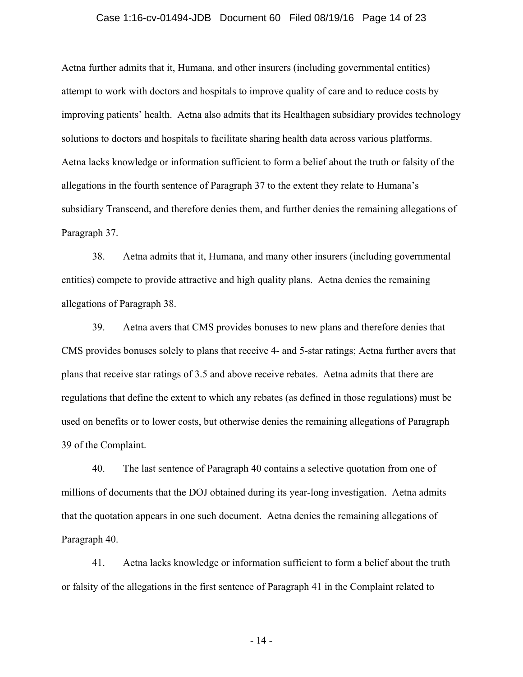#### Case 1:16-cv-01494-JDB Document 60 Filed 08/19/16 Page 14 of 23

Aetna further admits that it, Humana, and other insurers (including governmental entities) attempt to work with doctors and hospitals to improve quality of care and to reduce costs by improving patients' health. Aetna also admits that its Healthagen subsidiary provides technology solutions to doctors and hospitals to facilitate sharing health data across various platforms. Aetna lacks knowledge or information sufficient to form a belief about the truth or falsity of the allegations in the fourth sentence of Paragraph 37 to the extent they relate to Humana's subsidiary Transcend, and therefore denies them, and further denies the remaining allegations of Paragraph 37.

38. Aetna admits that it, Humana, and many other insurers (including governmental entities) compete to provide attractive and high quality plans. Aetna denies the remaining allegations of Paragraph 38.

39. Aetna avers that CMS provides bonuses to new plans and therefore denies that CMS provides bonuses solely to plans that receive 4- and 5-star ratings; Aetna further avers that plans that receive star ratings of 3.5 and above receive rebates. Aetna admits that there are regulations that define the extent to which any rebates (as defined in those regulations) must be used on benefits or to lower costs, but otherwise denies the remaining allegations of Paragraph 39 of the Complaint.

40. The last sentence of Paragraph 40 contains a selective quotation from one of millions of documents that the DOJ obtained during its year-long investigation. Aetna admits that the quotation appears in one such document. Aetna denies the remaining allegations of Paragraph 40.

41. Aetna lacks knowledge or information sufficient to form a belief about the truth or falsity of the allegations in the first sentence of Paragraph 41 in the Complaint related to

- 14 -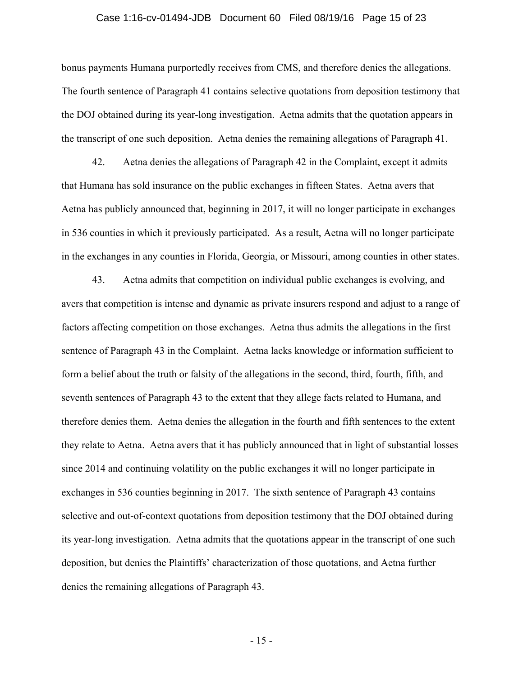#### Case 1:16-cv-01494-JDB Document 60 Filed 08/19/16 Page 15 of 23

bonus payments Humana purportedly receives from CMS, and therefore denies the allegations. The fourth sentence of Paragraph 41 contains selective quotations from deposition testimony that the DOJ obtained during its year-long investigation. Aetna admits that the quotation appears in the transcript of one such deposition. Aetna denies the remaining allegations of Paragraph 41.

42. Aetna denies the allegations of Paragraph 42 in the Complaint, except it admits that Humana has sold insurance on the public exchanges in fifteen States. Aetna avers that Aetna has publicly announced that, beginning in 2017, it will no longer participate in exchanges in 536 counties in which it previously participated. As a result, Aetna will no longer participate in the exchanges in any counties in Florida, Georgia, or Missouri, among counties in other states.

43. Aetna admits that competition on individual public exchanges is evolving, and avers that competition is intense and dynamic as private insurers respond and adjust to a range of factors affecting competition on those exchanges. Aetna thus admits the allegations in the first sentence of Paragraph 43 in the Complaint. Aetna lacks knowledge or information sufficient to form a belief about the truth or falsity of the allegations in the second, third, fourth, fifth, and seventh sentences of Paragraph 43 to the extent that they allege facts related to Humana, and therefore denies them. Aetna denies the allegation in the fourth and fifth sentences to the extent they relate to Aetna. Aetna avers that it has publicly announced that in light of substantial losses since 2014 and continuing volatility on the public exchanges it will no longer participate in exchanges in 536 counties beginning in 2017. The sixth sentence of Paragraph 43 contains selective and out-of-context quotations from deposition testimony that the DOJ obtained during its year-long investigation. Aetna admits that the quotations appear in the transcript of one such deposition, but denies the Plaintiffs' characterization of those quotations, and Aetna further denies the remaining allegations of Paragraph 43.

- 15 -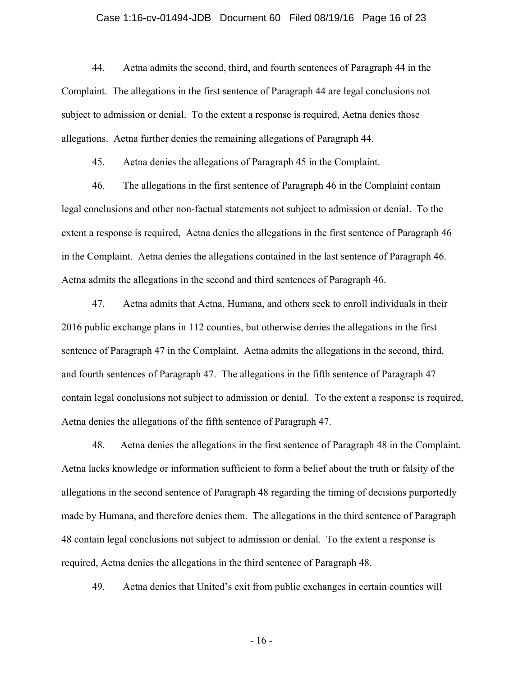#### Case 1:16-cv-01494-JDB Document 60 Filed 08/19/16 Page 16 of 23

44. Aetna admits the second, third, and fourth sentences of Paragraph 44 in the Complaint. The allegations in the first sentence of Paragraph 44 are legal conclusions not subject to admission or denial. To the extent a response is required, Aetna denies those allegations. Aetna further denies the remaining allegations of Paragraph 44.

45. Aetna denies the allegations of Paragraph 45 in the Complaint.

46. The allegations in the first sentence of Paragraph 46 in the Complaint contain legal conclusions and other non-factual statements not subject to admission or denial. To the extent a response is required, Aetna denies the allegations in the first sentence of Paragraph 46 in the Complaint. Aetna denies the allegations contained in the last sentence of Paragraph 46. Aetna admits the allegations in the second and third sentences of Paragraph 46.

47. Aetna admits that Aetna, Humana, and others seek to enroll individuals in their 2016 public exchange plans in 112 counties, but otherwise denies the allegations in the first sentence of Paragraph 47 in the Complaint. Aetna admits the allegations in the second, third, and fourth sentences of Paragraph 47. The allegations in the fifth sentence of Paragraph 47 contain legal conclusions not subject to admission or denial. To the extent a response is required, Aetna denies the allegations of the fifth sentence of Paragraph 47.

48. Aetna denies the allegations in the first sentence of Paragraph 48 in the Complaint. Aetna lacks knowledge or information sufficient to form a belief about the truth or falsity of the allegations in the second sentence of Paragraph 48 regarding the timing of decisions purportedly made by Humana, and therefore denies them. The allegations in the third sentence of Paragraph 48 contain legal conclusions not subject to admission or denial. To the extent a response is required, Aetna denies the allegations in the third sentence of Paragraph 48.

49. Aetna denies that United's exit from public exchanges in certain counties will

- 16 -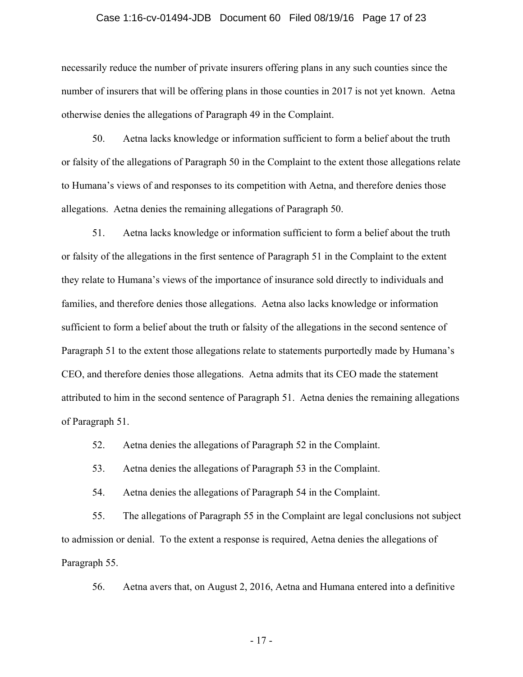#### Case 1:16-cv-01494-JDB Document 60 Filed 08/19/16 Page 17 of 23

necessarily reduce the number of private insurers offering plans in any such counties since the number of insurers that will be offering plans in those counties in 2017 is not yet known. Aetna otherwise denies the allegations of Paragraph 49 in the Complaint.

50. Aetna lacks knowledge or information sufficient to form a belief about the truth or falsity of the allegations of Paragraph 50 in the Complaint to the extent those allegations relate to Humana's views of and responses to its competition with Aetna, and therefore denies those allegations. Aetna denies the remaining allegations of Paragraph 50.

51. Aetna lacks knowledge or information sufficient to form a belief about the truth or falsity of the allegations in the first sentence of Paragraph 51 in the Complaint to the extent they relate to Humana's views of the importance of insurance sold directly to individuals and families, and therefore denies those allegations. Aetna also lacks knowledge or information sufficient to form a belief about the truth or falsity of the allegations in the second sentence of Paragraph 51 to the extent those allegations relate to statements purportedly made by Humana's CEO, and therefore denies those allegations. Aetna admits that its CEO made the statement attributed to him in the second sentence of Paragraph 51. Aetna denies the remaining allegations of Paragraph 51.

52. Aetna denies the allegations of Paragraph 52 in the Complaint.

53. Aetna denies the allegations of Paragraph 53 in the Complaint.

54. Aetna denies the allegations of Paragraph 54 in the Complaint.

55. The allegations of Paragraph 55 in the Complaint are legal conclusions not subject to admission or denial. To the extent a response is required, Aetna denies the allegations of Paragraph 55.

56. Aetna avers that, on August 2, 2016, Aetna and Humana entered into a definitive

- 17 -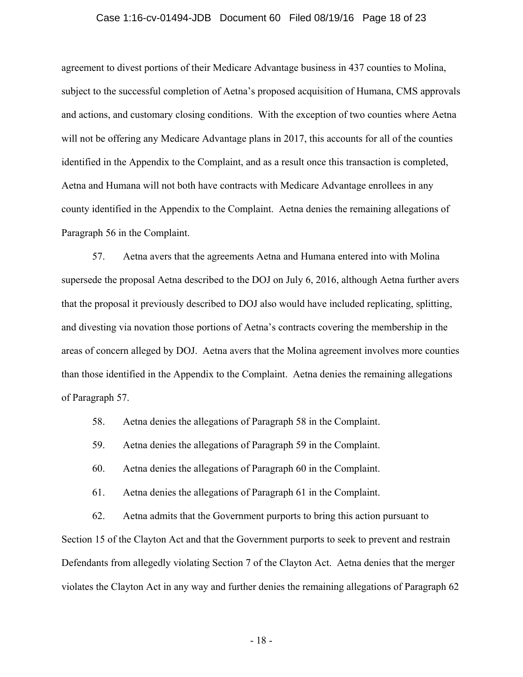#### Case 1:16-cv-01494-JDB Document 60 Filed 08/19/16 Page 18 of 23

agreement to divest portions of their Medicare Advantage business in 437 counties to Molina, subject to the successful completion of Aetna's proposed acquisition of Humana, CMS approvals and actions, and customary closing conditions. With the exception of two counties where Aetna will not be offering any Medicare Advantage plans in 2017, this accounts for all of the counties identified in the Appendix to the Complaint, and as a result once this transaction is completed, Aetna and Humana will not both have contracts with Medicare Advantage enrollees in any county identified in the Appendix to the Complaint. Aetna denies the remaining allegations of Paragraph 56 in the Complaint.

57. Aetna avers that the agreements Aetna and Humana entered into with Molina supersede the proposal Aetna described to the DOJ on July 6, 2016, although Aetna further avers that the proposal it previously described to DOJ also would have included replicating, splitting, and divesting via novation those portions of Aetna's contracts covering the membership in the areas of concern alleged by DOJ. Aetna avers that the Molina agreement involves more counties than those identified in the Appendix to the Complaint. Aetna denies the remaining allegations of Paragraph 57.

58. Aetna denies the allegations of Paragraph 58 in the Complaint.

59. Aetna denies the allegations of Paragraph 59 in the Complaint.

60. Aetna denies the allegations of Paragraph 60 in the Complaint.

61. Aetna denies the allegations of Paragraph 61 in the Complaint.

62. Aetna admits that the Government purports to bring this action pursuant to Section 15 of the Clayton Act and that the Government purports to seek to prevent and restrain Defendants from allegedly violating Section 7 of the Clayton Act. Aetna denies that the merger violates the Clayton Act in any way and further denies the remaining allegations of Paragraph 62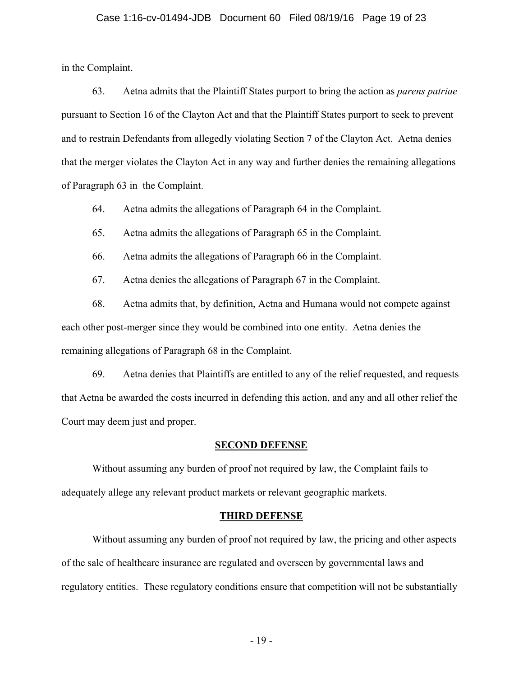#### Case 1:16-cv-01494-JDB Document 60 Filed 08/19/16 Page 19 of 23

in the Complaint.

63. Aetna admits that the Plaintiff States purport to bring the action as *parens patriae*  pursuant to Section 16 of the Clayton Act and that the Plaintiff States purport to seek to prevent and to restrain Defendants from allegedly violating Section 7 of the Clayton Act. Aetna denies that the merger violates the Clayton Act in any way and further denies the remaining allegations of Paragraph 63 in the Complaint.

64. Aetna admits the allegations of Paragraph 64 in the Complaint.

65. Aetna admits the allegations of Paragraph 65 in the Complaint.

66. Aetna admits the allegations of Paragraph 66 in the Complaint.

67. Aetna denies the allegations of Paragraph 67 in the Complaint.

68. Aetna admits that, by definition, Aetna and Humana would not compete against each other post-merger since they would be combined into one entity. Aetna denies the remaining allegations of Paragraph 68 in the Complaint.

69. Aetna denies that Plaintiffs are entitled to any of the relief requested, and requests that Aetna be awarded the costs incurred in defending this action, and any and all other relief the Court may deem just and proper.

#### **SECOND DEFENSE**

Without assuming any burden of proof not required by law, the Complaint fails to adequately allege any relevant product markets or relevant geographic markets.

#### **THIRD DEFENSE**

 Without assuming any burden of proof not required by law, the pricing and other aspects of the sale of healthcare insurance are regulated and overseen by governmental laws and regulatory entities. These regulatory conditions ensure that competition will not be substantially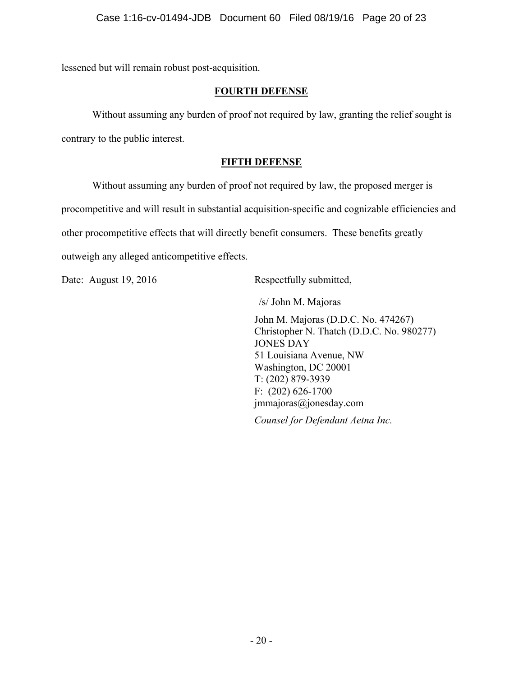lessened but will remain robust post-acquisition.

# **FOURTH DEFENSE**

Without assuming any burden of proof not required by law, granting the relief sought is

contrary to the public interest.

# **FIFTH DEFENSE**

Without assuming any burden of proof not required by law, the proposed merger is

procompetitive and will result in substantial acquisition-specific and cognizable efficiencies and

other procompetitive effects that will directly benefit consumers. These benefits greatly

outweigh any alleged anticompetitive effects.

Date: August 19, 2016 Respectfully submitted,

/s/ John M. Majoras

John M. Majoras (D.D.C. No. 474267) Christopher N. Thatch (D.D.C. No. 980277) JONES DAY 51 Louisiana Avenue, NW Washington, DC 20001 T: (202) 879-3939 F: (202) 626-1700 jmmajoras@jonesday.com

*Counsel for Defendant Aetna Inc.*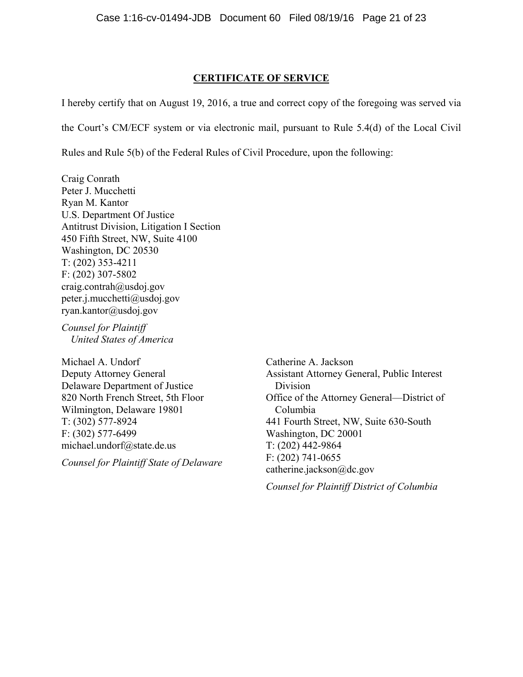### **CERTIFICATE OF SERVICE**

I hereby certify that on August 19, 2016, a true and correct copy of the foregoing was served via

the Court's CM/ECF system or via electronic mail, pursuant to Rule 5.4(d) of the Local Civil

Rules and Rule 5(b) of the Federal Rules of Civil Procedure, upon the following:

Craig Conrath Peter J. Mucchetti Ryan M. Kantor U.S. Department Of Justice Antitrust Division, Litigation I Section 450 Fifth Street, NW, Suite 4100 Washington, DC 20530 T: (202) 353-4211 F: (202) 307-5802 craig.contrah@usdoj.gov peter.j.mucchetti@usdoj.gov ryan.kantor@usdoj.gov

*Counsel for Plaintiff United States of America*

Michael A. Undorf Deputy Attorney General Delaware Department of Justice 820 North French Street, 5th Floor Wilmington, Delaware 19801 T: (302) 577-8924 F: (302) 577-6499 michael.undorf@state.de.us

*Counsel for Plaintiff State of Delaware*

Catherine A. Jackson Assistant Attorney General, Public Interest Division Office of the Attorney General—District of Columbia 441 Fourth Street, NW, Suite 630-South Washington, DC 20001 T: (202) 442-9864 F: (202) 741-0655 catherine.jackson@dc.gov

*Counsel for Plaintiff District of Columbia*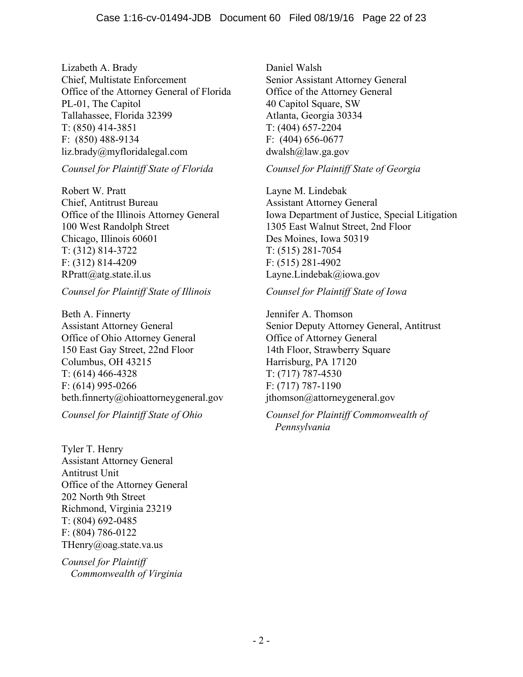Lizabeth A. Brady Chief, Multistate Enforcement Office of the Attorney General of Florida PL-01, The Capitol Tallahassee, Florida 32399 T: (850) 414-3851 F: (850) 488-9134 liz.brady@myfloridalegal.com

### *Counsel for Plaintiff State of Florida*

Robert W. Pratt Chief, Antitrust Bureau Office of the Illinois Attorney General 100 West Randolph Street Chicago, Illinois 60601 T: (312) 814-3722 F: (312) 814-4209 RPratt@atg.state.il.us

# *Counsel for Plaintiff State of Illinois*

Beth A. Finnerty Assistant Attorney General Office of Ohio Attorney General 150 East Gay Street, 22nd Floor Columbus, OH 43215 T: (614) 466-4328 F: (614) 995-0266 beth.finnerty@ohioattorneygeneral.gov

*Counsel for Plaintiff State of Ohio*

Tyler T. Henry Assistant Attorney General Antitrust Unit Office of the Attorney General 202 North 9th Street Richmond, Virginia 23219 T: (804) 692-0485 F: (804) 786-0122 THenry@oag.state.va.us

*Counsel for Plaintiff Commonwealth of Virginia* Daniel Walsh Senior Assistant Attorney General Office of the Attorney General 40 Capitol Square, SW Atlanta, Georgia 30334 T: (404) 657-2204 F: (404) 656-0677 dwalsh@law.ga.gov

*Counsel for Plaintiff State of Georgia*

Layne M. Lindebak Assistant Attorney General Iowa Department of Justice, Special Litigation 1305 East Walnut Street, 2nd Floor Des Moines, Iowa 50319 T: (515) 281-7054 F: (515) 281-4902 Layne.Lindebak@iowa.gov

### *Counsel for Plaintiff State of Iowa*

Jennifer A. Thomson Senior Deputy Attorney General, Antitrust Office of Attorney General 14th Floor, Strawberry Square Harrisburg, PA 17120 T: (717) 787-4530 F: (717) 787-1190 jthomson@attorneygeneral.gov

# *Counsel for Plaintiff Commonwealth of Pennsylvania*